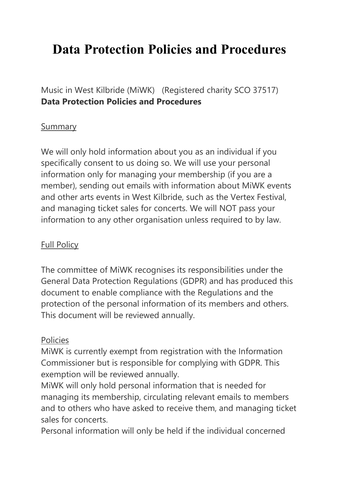# **Data Protection Policies and Procedures**

Music in West Kilbride (MiWK) (Registered charity SCO 37517) **Data Protection Policies and Procedures**

#### Summary

We will only hold information about you as an individual if you specifically consent to us doing so. We will use your personal information only for managing your membership (if you are a member), sending out emails with information about MiWK events and other arts events in West Kilbride, such as the Vertex Festival, and managing ticket sales for concerts. We will NOT pass your information to any other organisation unless required to by law.

#### Full Policy

The committee of MiWK recognises its responsibilities under the General Data Protection Regulations (GDPR) and has produced this document to enable compliance with the Regulations and the protection of the personal information of its members and others. This document will be reviewed annually.

#### Policies

MiWK is currently exempt from registration with the Information Commissioner but is responsible for complying with GDPR. This exemption will be reviewed annually.

MiWK will only hold personal information that is needed for managing its membership, circulating relevant emails to members and to others who have asked to receive them, and managing ticket sales for concerts.

Personal information will only be held if the individual concerned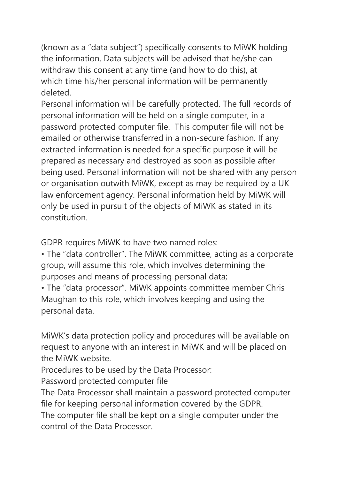(known as a "data subject") specifically consents to MiWK holding the information. Data subjects will be advised that he/she can withdraw this consent at any time (and how to do this), at which time his/her personal information will be permanently deleted.

Personal information will be carefully protected. The full records of personal information will be held on a single computer, in a password protected computer file. This computer file will not be emailed or otherwise transferred in a non-secure fashion. If any extracted information is needed for a specific purpose it will be prepared as necessary and destroyed as soon as possible after being used. Personal information will not be shared with any person or organisation outwith MiWK, except as may be required by a UK law enforcement agency. Personal information held by MiWK will only be used in pursuit of the objects of MiWK as stated in its constitution.

GDPR requires MiWK to have two named roles:

• The "data controller". The MiWK committee, acting as a corporate group, will assume this role, which involves determining the purposes and means of processing personal data;

• The "data processor". MiWK appoints committee member Chris Maughan to this role, which involves keeping and using the personal data.

MiWK's data protection policy and procedures will be available on request to anyone with an interest in MiWK and will be placed on the MiWK website.

Procedures to be used by the Data Processor:

Password protected computer file

The Data Processor shall maintain a password protected computer file for keeping personal information covered by the GDPR. The computer file shall be kept on a single computer under the

control of the Data Processor.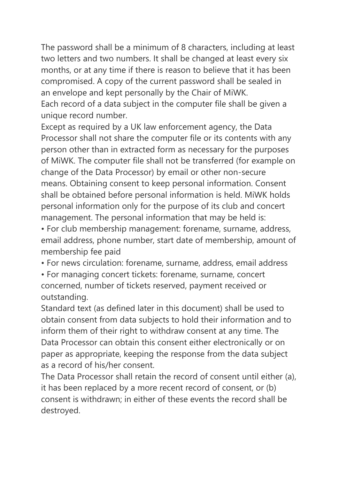The password shall be a minimum of 8 characters, including at least two letters and two numbers. It shall be changed at least every six months, or at any time if there is reason to believe that it has been compromised. A copy of the current password shall be sealed in an envelope and kept personally by the Chair of MiWK. Each record of a data subject in the computer file shall be given a unique record number.

Except as required by a UK law enforcement agency, the Data Processor shall not share the computer file or its contents with any person other than in extracted form as necessary for the purposes of MiWK. The computer file shall not be transferred (for example on change of the Data Processor) by email or other non-secure means. Obtaining consent to keep personal information. Consent shall be obtained before personal information is held. MiWK holds personal information only for the purpose of its club and concert management. The personal information that may be held is:

• For club membership management: forename, surname, address, email address, phone number, start date of membership, amount of membership fee paid

• For news circulation: forename, surname, address, email address

• For managing concert tickets: forename, surname, concert concerned, number of tickets reserved, payment received or outstanding.

Standard text (as defined later in this document) shall be used to obtain consent from data subjects to hold their information and to inform them of their right to withdraw consent at any time. The Data Processor can obtain this consent either electronically or on paper as appropriate, keeping the response from the data subject as a record of his/her consent.

The Data Processor shall retain the record of consent until either (a), it has been replaced by a more recent record of consent, or (b) consent is withdrawn; in either of these events the record shall be destroyed.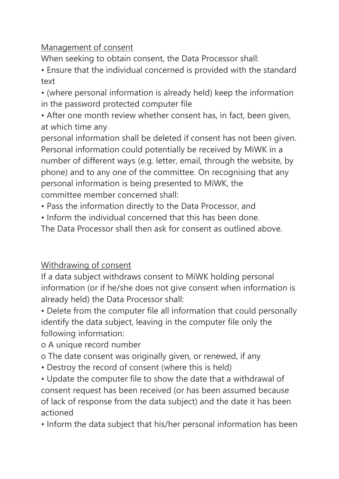## Management of consent

When seeking to obtain consent, the Data Processor shall:

• Ensure that the individual concerned is provided with the standard text

• (where personal information is already held) keep the information in the password protected computer file

• After one month review whether consent has, in fact, been given, at which time any

personal information shall be deleted if consent has not been given. Personal information could potentially be received by MiWK in a number of different ways (e.g. letter, email, through the website, by phone) and to any one of the committee. On recognising that any personal information is being presented to MiWK, the committee member concerned shall:

• Pass the information directly to the Data Processor, and

• Inform the individual concerned that this has been done.

The Data Processor shall then ask for consent as outlined above.

## Withdrawing of consent

If a data subject withdraws consent to MiWK holding personal information (or if he/she does not give consent when information is already held) the Data Processor shall:

• Delete from the computer file all information that could personally identify the data subject, leaving in the computer file only the following information:

o A unique record number

o The date consent was originally given, or renewed, if any

• Destroy the record of consent (where this is held)

• Update the computer file to show the date that a withdrawal of consent request has been received (or has been assumed because of lack of response from the data subject) and the date it has been actioned

• Inform the data subject that his/her personal information has been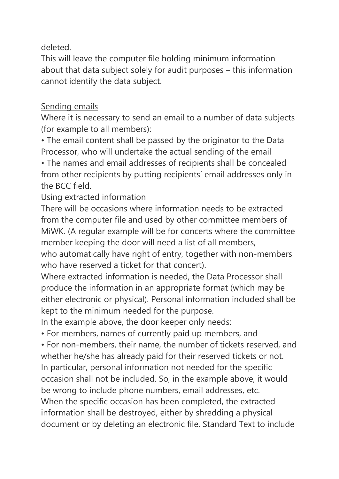deleted.

This will leave the computer file holding minimum information about that data subject solely for audit purposes – this information cannot identify the data subject.

## Sending emails

Where it is necessary to send an email to a number of data subjects (for example to all members):

• The email content shall be passed by the originator to the Data Processor, who will undertake the actual sending of the email

• The names and email addresses of recipients shall be concealed from other recipients by putting recipients' email addresses only in the BCC field.

## Using extracted information

There will be occasions where information needs to be extracted from the computer file and used by other committee members of MiWK. (A regular example will be for concerts where the committee member keeping the door will need a list of all members, who automatically have right of entry, together with non-members who have reserved a ticket for that concert).

Where extracted information is needed, the Data Processor shall produce the information in an appropriate format (which may be either electronic or physical). Personal information included shall be kept to the minimum needed for the purpose.

In the example above, the door keeper only needs:

• For members, names of currently paid up members, and

• For non-members, their name, the number of tickets reserved, and whether he/she has already paid for their reserved tickets or not. In particular, personal information not needed for the specific occasion shall not be included. So, in the example above, it would be wrong to include phone numbers, email addresses, etc. When the specific occasion has been completed, the extracted information shall be destroyed, either by shredding a physical document or by deleting an electronic file. Standard Text to include